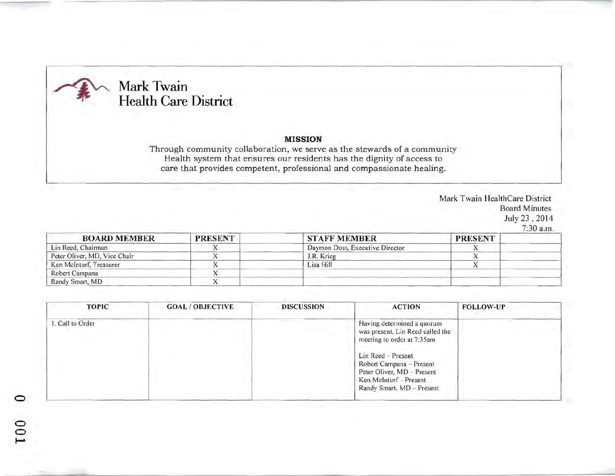## Mark Twain **Health Care District**

o  $\tilde{c}$ ~

## MISSION

Through community collaboration, we serve as the stewards of a community Health system that ensures our residents has the dignity of access to care that provides competent, professional and compassionate healing.

> Mark Twain HealthCare District Board Minutes July 23,2014 7:30 a.m

| <b>BOARD MEMBER</b>          | <b>PRESENT</b> | <b>STAFF MEMBER</b>             | <b>PRESENT</b> |  |
|------------------------------|----------------|---------------------------------|----------------|--|
| Lin Reed, Chairman           |                | Daymon Doss, Executive Director |                |  |
| Peter Oliver, MD, Vice Chair |                | J.R. Krieg                      |                |  |
| Ken McInturf, Treasurer      |                | Lisa Hill                       |                |  |
| Robert Campana               |                |                                 |                |  |
| Randy Smart, MD              |                |                                 |                |  |

| <b>TOPIC</b>     | <b>GOAL/OBJECTIVE</b> | <b>DISCUSSION</b> | <b>ACTION</b>                                                                                                                       | <b>FOLLOW-UP</b> |
|------------------|-----------------------|-------------------|-------------------------------------------------------------------------------------------------------------------------------------|------------------|
| 1. Call to Order |                       |                   | Having determined a quorum<br>was present, Lin Reed called the<br>meeting to order at 7:35am                                        |                  |
|                  |                       |                   | Lin Reed - Present<br>Robert Campana - Present<br>Peter Oliver, MD - Present<br>Ken McInturf - Present<br>Randy Smart, MD - Present |                  |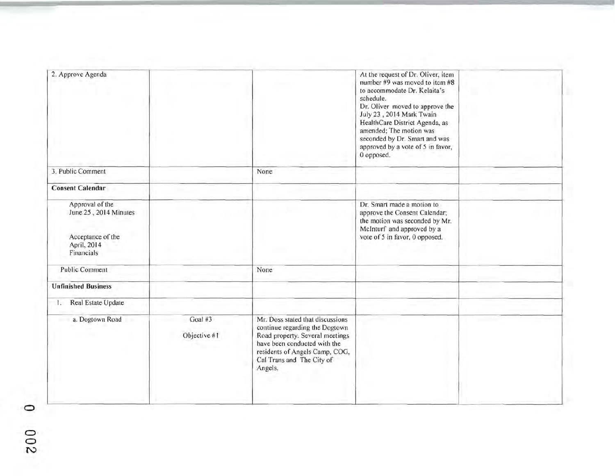| 2. Approve Agenda                                                                          |                         |                                                                                                                                                                                                                 | At the request of Dr. Oliver, item<br>number $#9$ was moved to item $#8$<br>to accommodate Dr. Kelaita's<br>schedule.<br>Dr. Oliver moved to approve the<br>July 23, 2014 Mark Twain<br>HealthCare District Agenda, as<br>amended; The motion was<br>seconded by Dr. Smart and was<br>approved by a vote of 5 in favor,<br>0 opposed. |  |
|--------------------------------------------------------------------------------------------|-------------------------|-----------------------------------------------------------------------------------------------------------------------------------------------------------------------------------------------------------------|---------------------------------------------------------------------------------------------------------------------------------------------------------------------------------------------------------------------------------------------------------------------------------------------------------------------------------------|--|
| 3. Public Comment                                                                          |                         | None                                                                                                                                                                                                            |                                                                                                                                                                                                                                                                                                                                       |  |
| <b>Consent Calendar</b>                                                                    |                         |                                                                                                                                                                                                                 |                                                                                                                                                                                                                                                                                                                                       |  |
| Approval of the<br>June 25, 2014 Minutes<br>Acceptance of the<br>April, 2014<br>Financials |                         |                                                                                                                                                                                                                 | Dr. Smart made a motion to<br>approve the Consent Calendar;<br>the motion was seconded by Mr.<br>McInturf and approved by a<br>vote of 5 in favor, 0 opposed.                                                                                                                                                                         |  |
| Public Comment                                                                             |                         | None                                                                                                                                                                                                            |                                                                                                                                                                                                                                                                                                                                       |  |
| <b>Unfinished Business</b>                                                                 |                         |                                                                                                                                                                                                                 |                                                                                                                                                                                                                                                                                                                                       |  |
| Real Estate Update<br>L.                                                                   |                         |                                                                                                                                                                                                                 |                                                                                                                                                                                                                                                                                                                                       |  |
| a. Dogtown Road                                                                            | Goal #3<br>Objective #1 | Mr. Doss stated that discussions<br>continue regarding the Dogtown<br>Road property. Several meetings<br>have been conducted with the<br>residents of Angels Camp, COG,<br>Cal Trans and The City of<br>Angels. |                                                                                                                                                                                                                                                                                                                                       |  |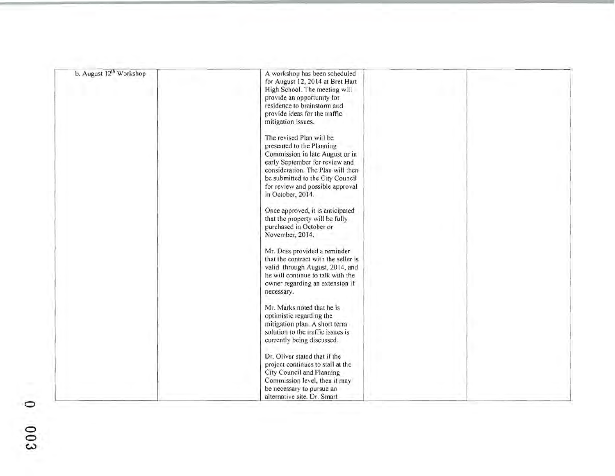| b. August 12 <sup>th</sup> Workshop | A workshop has been scheduled<br>for August 12, 2014 at Bret Hart<br>High School. The meeting will<br>provide an opportunity for<br>residence to brainstorm and<br>provide ideas for the traffic<br>mitigation issues.<br>The revised Plan will be |  |
|-------------------------------------|----------------------------------------------------------------------------------------------------------------------------------------------------------------------------------------------------------------------------------------------------|--|
|                                     | presented to the Planning<br>Commission in late August or in<br>early September for review and<br>consideration. The Plan will then<br>be submitted to the City Council<br>for review and possible approval<br>in October, 2014.                   |  |
|                                     | Once approved, it is anticipated<br>that the property will be fully<br>purchased in October or<br>November, 2014.                                                                                                                                  |  |
|                                     | Mr. Doss provided a reminder<br>that the contract with the seller is<br>valid through August, 2014, and<br>he will continue to talk with the<br>owner regarding an extension if<br>necessary.                                                      |  |
|                                     | Mr. Marks noted that he is<br>optimistic regarding the<br>mitigation plan. A short term<br>solution to the traffic issues is<br>currently being discussed.                                                                                         |  |
|                                     | Dr. Oliver stated that if the<br>project continues to stall at the<br>City Council and Planning<br>Commission level, then it may<br>be necessary to pursue an<br>alternative site. Dr. Smart                                                       |  |

o o  $\breve{\rm e}$  $\breve{\bm{\omega}}$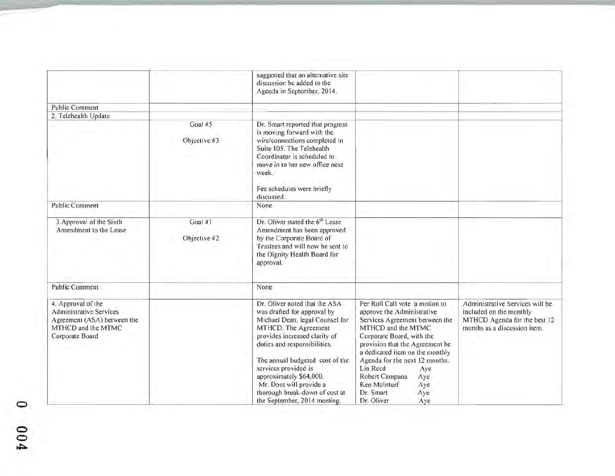|                                                                                                                              |                         | suggested that an alternative site<br>discussion be added to the<br>Agenda in September, 2014.                                                                                                                                                                                                                                                                              |                                                                                                                                                                                                                                                                                                                                                                       |                                                                                                                            |
|------------------------------------------------------------------------------------------------------------------------------|-------------------------|-----------------------------------------------------------------------------------------------------------------------------------------------------------------------------------------------------------------------------------------------------------------------------------------------------------------------------------------------------------------------------|-----------------------------------------------------------------------------------------------------------------------------------------------------------------------------------------------------------------------------------------------------------------------------------------------------------------------------------------------------------------------|----------------------------------------------------------------------------------------------------------------------------|
| <b>Public Comment</b>                                                                                                        |                         |                                                                                                                                                                                                                                                                                                                                                                             |                                                                                                                                                                                                                                                                                                                                                                       |                                                                                                                            |
| 2. Telehealth Update                                                                                                         |                         |                                                                                                                                                                                                                                                                                                                                                                             |                                                                                                                                                                                                                                                                                                                                                                       |                                                                                                                            |
|                                                                                                                              | Goal #5<br>Objective #3 | Dr. Smart reported that progress<br>is moving forward with the<br>wire/connections completed in<br>Suite 105. The Telehealth<br>Coordinator is scheduled to<br>move in to her new office next<br>week.<br>Fee schedules were briefly<br>discussed.                                                                                                                          |                                                                                                                                                                                                                                                                                                                                                                       |                                                                                                                            |
| Public Comment                                                                                                               |                         | None                                                                                                                                                                                                                                                                                                                                                                        |                                                                                                                                                                                                                                                                                                                                                                       |                                                                                                                            |
| 3. Approval of the Sixth<br>Amendment to the Lease                                                                           | Goal #1<br>Objective #2 | Dr. Oliver stated the 6 <sup>th</sup> Lease<br>Amendment has been approved<br>by the Corporate Board of<br>Trustees and will now be sent to<br>the Dignity Health Board for<br>approval.                                                                                                                                                                                    |                                                                                                                                                                                                                                                                                                                                                                       |                                                                                                                            |
| <b>Public Comment</b>                                                                                                        |                         | None                                                                                                                                                                                                                                                                                                                                                                        |                                                                                                                                                                                                                                                                                                                                                                       |                                                                                                                            |
| 4. Approval of the<br><b>Administrative Services</b><br>Agreement (ASA) between the<br>MTHCD and the MTMC<br>Corporate Board |                         | Dr. Oliver noted that the ASA<br>was drafted for approval by<br>Michael Dean, legal Counsel for<br>MTHCD. The Agreement<br>provides increased clarity of<br>duties and responsibilities.<br>The annual budgeted cost of the<br>services provided is<br>approximately \$64,000.<br>Mr. Doss will provide a<br>thorough break-down of cost at<br>the September, 2014 meeting. | Per Roll Call vote a motion to<br>approve the Administrative<br>Services Agreement between the<br>MTHCD and the MTMC<br>Corporate Board, with the<br>provision that the Agreement be<br>a dedicated item on the monthly<br>Agenda for the next 12 months.<br>Lin Reed<br>Aye<br>Robert Campana<br>Aye<br>Ken McInturf<br>Aye<br>Dr. Smart<br>Aye<br>Dr. Oliver<br>Aye | Administrative Services will be<br>included on the monthly<br>MTHCD Agenda for the best 12<br>months as a discussion item. |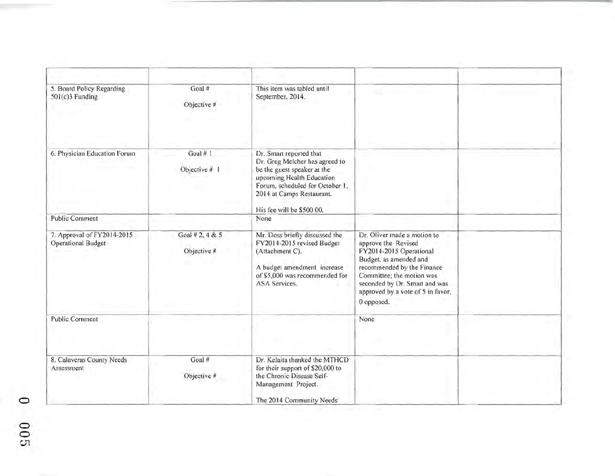| 5. Board Policy Regarding<br>$501(c)3$ Funding          | Goal#<br>Objective #           | This item was tabled until<br>September, 2014.                                                                                                                                                                     |                                                                                                                                                                                                                                                        |  |
|---------------------------------------------------------|--------------------------------|--------------------------------------------------------------------------------------------------------------------------------------------------------------------------------------------------------------------|--------------------------------------------------------------------------------------------------------------------------------------------------------------------------------------------------------------------------------------------------------|--|
| 6. Physician Education Forum                            | Goal # 1<br>Objective # 1      | Dr. Smart reported that<br>Dr. Greg Melcher has agreed to<br>be the guest speaker at the<br>upcoming Health Education<br>Forum, scheduled for October 1,<br>2014 at Camps Restaurant.<br>His fee will be \$500.00. |                                                                                                                                                                                                                                                        |  |
| <b>Public Comment</b>                                   |                                | None                                                                                                                                                                                                               |                                                                                                                                                                                                                                                        |  |
| 7. Approval of FY2014-2015<br><b>Operational Budget</b> | Goal # 2, 4 & 5<br>Objective # | Mr. Doss briefly discussed the<br>FY2014-2015 revised Budget<br>(Attachment C).<br>A budget amendment increase<br>of \$5,000 was recommended for<br>ASA Services.                                                  | Dr. Oliver made a motion to<br>approve the Revised<br>FY2014-2015 Operational<br>Budget, as amended and<br>recommended by the Finance<br>Committee; the motion was<br>seconded by Dr. Smart and was<br>approved by a vote of 5 in favor,<br>0 opposed. |  |
| Public Comment                                          |                                |                                                                                                                                                                                                                    | None                                                                                                                                                                                                                                                   |  |
| 8. Calaveras County Needs<br>Assessment                 | Goal #<br>Objective #          | Dr. Kelaita thanked the MTHCD<br>for their support of \$20,000 to<br>the Chronic Disease Self-<br>Management Project.<br>The 2014 Community Needs                                                                  |                                                                                                                                                                                                                                                        |  |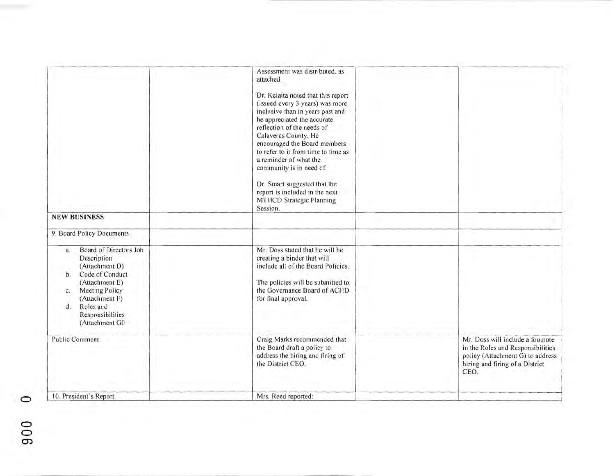| <b>NEW BUSINESS</b>                                                                                                                                                                                           | Assessment was distributed, as<br>attached.<br>Dr. Kelaita noted that this report<br>(issued every 3 years) was more<br>inclusive than in years past and<br>he appreciated the accurate<br>reflection of the needs of<br>Calaveras County. He<br>encouraged the Board members<br>to refer to it from time to time as<br>a reminder of what the<br>community is in need of.<br>Dr. Smart suggested that the<br>report is included in the next<br>MTHCD Strategic Planning<br>Session. |                                                                                                                                                      |
|---------------------------------------------------------------------------------------------------------------------------------------------------------------------------------------------------------------|--------------------------------------------------------------------------------------------------------------------------------------------------------------------------------------------------------------------------------------------------------------------------------------------------------------------------------------------------------------------------------------------------------------------------------------------------------------------------------------|------------------------------------------------------------------------------------------------------------------------------------------------------|
| 9. Board Policy Documents                                                                                                                                                                                     |                                                                                                                                                                                                                                                                                                                                                                                                                                                                                      |                                                                                                                                                      |
| Board of Directors Job<br>a.<br>Description<br>(Attachment D)<br>b. Code of Conduct<br>(Attachment E)<br>Meeting Policy<br>c.<br>(Attachment F)<br>Roles and<br>$d_{-}$<br>Responsibilities<br>(Attachment G0 | Mr. Doss stated that he will be<br>creating a binder that will<br>include all of the Board Policies.<br>The policies will be submitted to<br>the Governance Board of ACHD<br>for final approval.                                                                                                                                                                                                                                                                                     |                                                                                                                                                      |
| Public Comment                                                                                                                                                                                                | Craig Marks recommended that<br>the Board draft a policy to<br>address the hiring and firing of<br>the District CEO.                                                                                                                                                                                                                                                                                                                                                                 | Mr. Doss will include a footnote<br>in the Roles and Responsibilities<br>policy (Attachment G) to address<br>hiring and firing of a District<br>CEO. |
| 10. President's Report                                                                                                                                                                                        | Mrs. Reed reported:                                                                                                                                                                                                                                                                                                                                                                                                                                                                  |                                                                                                                                                      |

o  $\frac{6}{5}$